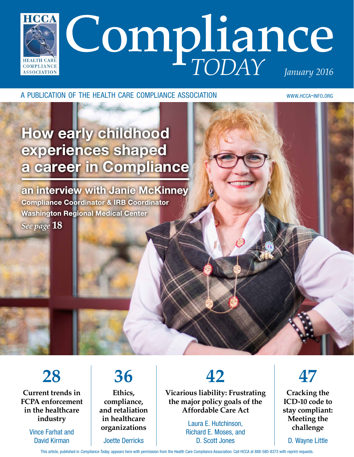

a publication of the health care compliance association www.hcca-info.org

# How early childhood experiences shaped a career in Compliance

an interview with Janie McKinney Compliance Coordinator & IRB Coordinator Washington Regional Medical Center *See page* **18**

**28 Current trends in FCPA enforcement in the healthcare industry**

> Vince Farhat and David Kirman

### **36 Ethics, compliance, and retaliation in healthcare organizations**

Joette Derricks

**42**

**Vicarious liability: Frustrating the major policy goals of the Affordable Care Act**

> Laura E. Hutchinson, Richard E. Moses, and D. Scott Jones

**47**

**Cracking the ICD-10 code to stay compliant: Meeting the challenge**

D. Wayne Little

This article, published in *Compliance Today*, appears here with permission from the Health Care Compliance Association. Call HCCA at 888-580-8373 with reprint requests.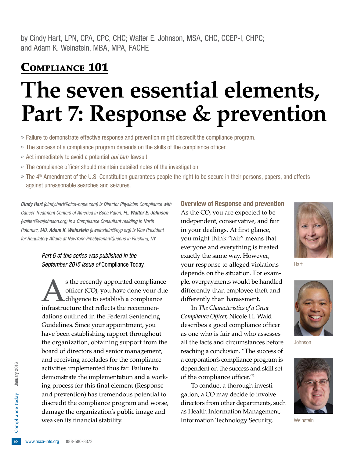by Cindy Hart, LPN, CPA, CPC, CHC; Walter E. Johnson, MSA, CHC, CCEP-I, CHPC; and Adam K. Weinstein, MBA, MPA, FACHE

## Compliance 101

# **The seven essential elements, Part 7: Response & prevention**

- » Failure to demonstrate effective response and prevention might discredit the compliance program.
- » The success of a compliance program depends on the skills of the compliance officer.
- » Act immediately to avoid a potential *qui tam* lawsuit.
- » The compliance officer should maintain detailed notes of the investigation.
- » The 4<sup>th</sup> Amendment of the U.S. Constitution guarantees people the right to be secure in their persons, papers, and effects against unreasonable searches and seizures.

*Cindy Hart (cindy.hart@ctca-hope.com) is Director Physician Compliance with Cancer Treatment Centers of America in Boca Raton, FL. Walter E. Johnson (walter@wejohnson.org) is a Compliance Consultant residing in North Potomac, MD. Adam K. Weinstein (aweinstein@nyp.org) is Vice President for Regulatory Affairs at NewYork-Presbyterian/Queens in Flushing, NY.*

#### *Part 6 of this series was published in the September 2015 issue of* Compliance Today*.*

damage the organization's public image and<br>weaken its financial stability.<br>  $\frac{6}{68}$  www.hcca-info.org 888-580-8373 s the recently appointed compliance<br>officer (CO), you have done your due<br>diligence to establish a compliance<br>infrastructure that reflects the recommenofficer (CO), you have done your due diligence to establish a compliance infrastructure that reflects the recommendations outlined in the Federal Sentencing Guidelines. Since your appointment, you have been establishing rapport throughout the organization, obtaining support from the board of directors and senior management, and receiving accolades for the compliance activities implemented thus far. Failure to demonstrate the implementation and a working process for this final element (Response and prevention) has tremendous potential to discredit the compliance program and worse, weaken its financial stability.

Overview of Response and prevention As the CO, you are expected to be independent, conservative, and fair in your dealings. At first glance, you might think "fair" means that everyone and everything is treated exactly the same way. However, your response to alleged violations depends on the situation. For example, overpayments would be handled differently than employee theft and differently than harassment.

In *The Characteristics of a Great Compliance Officer*, Nicole H. Waid describes a good compliance officer as one who is fair and who assesses all the facts and circumstances before reaching a conclusion. "The success of a corporation's compliance program is dependent on the success and skill set of the compliance officer."1

To conduct a thorough investigation, a CO may decide to involve directors from other departments, such as Health Information Management, Information Technology Security,



Hart



Johnson



**Weinstein**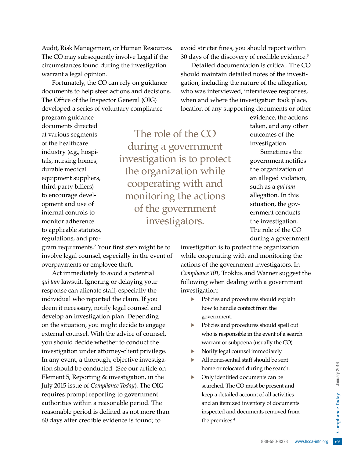Audit, Risk Management, or Human Resources. The CO may subsequently involve Legal if the circumstances found during the investigation warrant a legal opinion.

Fortunately, the CO can rely on guidance documents to help steer actions and decisions. The Office of the Inspector General (OIG) developed a series of voluntary compliance

program guidance documents directed at various segments of the healthcare industry (e.g., hospitals, nursing homes, durable medical equipment suppliers, third-party billers) to encourage development and use of internal controls to monitor adherence to applicable statutes, regulations, and pro-

The role of the CO during a government investigation is to protect the organization while cooperating with and monitoring the actions of the government investigators.

avoid stricter fines, you should report within 30 days of the discovery of credible evidence.3

Detailed documentation is critical. The CO should maintain detailed notes of the investigation, including the nature of the allegation, who was interviewed, interviewee responses, when and where the investigation took place, location of any supporting documents or other

> evidence, the actions taken, and any other outcomes of the investigation.

Sometimes the government notifies the organization of an alleged violation, such as a *qui tam* allegation. In this situation, the government conducts the investigation. The role of the CO during a government

gram requirments.2 Your first step might be to involve legal counsel, especially in the event of overpayments or employee theft.

Act immediately to avoid a potential *qui tam* lawsuit. Ignoring or delaying your response can alienate staff, especially the individual who reported the claim. If you deem it necessary, notify legal counsel and develop an investigation plan. Depending on the situation, you might decide to engage external counsel. With the advice of counsel, you should decide whether to conduct the investigation under attorney-client privilege. In any event, a thorough, objective investigation should be conducted. (See our article on Element 5, Reporting & investigation, in the July 2015 issue of *Compliance Today*). The OIG requires prompt reporting to government authorities within a reasonable period. The reasonable period is defined as not more than 60 days after credible evidence is found; to

investigation is to protect the organization while cooperating with and monitoring the actions of the government investigators. In *Compliance 101*, Troklus and Warner suggest the following when dealing with a government investigation:

- Policies and procedures should explain how to handle contact from the government.
- Policies and procedures should spell out who is responsible in the event of a search warrant or subpoena (usually the CO).
- Notify legal counsel immediately.
- · All nonessential staff should be sent home or relocated during the search.
- g the search.<br>
this can be<br>
be present and<br>
of all activities<br>
ts removed from<br>
ts removed from<br>
888-580-8373 www.hcca-info.org • Only identified documents can be searched. The CO must be present and keep a detailed account of all activities and an itemized inventory of documents inspected and documents removed from the premises.<sup>4</sup>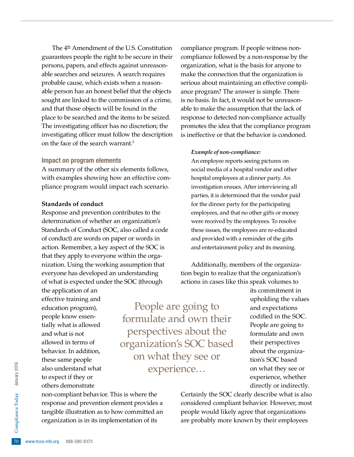The 4<sup>th</sup> Amendment of the U.S. Constitution guarantees people the right to be secure in their persons, papers, and effects against unreasonable searches and seizures. A search requires probable cause, which exists when a reasonable person has an honest belief that the objects sought are linked to the commission of a crime, and that those objects will be found in the place to be searched and the items to be seized. The investigating officer has no discretion; the investigating officer must follow the description on the face of the search warrant.<sup>5</sup>

#### Impact on program elements

A summary of the other six elements follows, with examples showing how an effective compliance program would impact each scenario.

#### **Standards of conduct**

Response and prevention contributes to the determination of whether an organization's Standards of Conduct (SOC, also called a code of conduct) are words on paper or words in action. Remember, a key aspect of the SOC is that they apply to everyone within the organization. Using the working assumption that everyone has developed an understanding of what is expected under the SOC (through

the application of an effective training and education program), people know essentially what is allowed and what is not allowed in terms of behavior. In addition, these same people also understand what to expect if they or others demonstrate

People are going to formulate and own their perspectives about the organization's SOC based on what they see or experience…

<sup>2</sup><br> *tangible illustration*<br>
organization is in i<br>
<sup>5</sup><br>
<sup>70</sup> www.hcca-info.org 888-580-8373 non-compliant behavior. This is where the response and prevention element provides a tangible illustration as to how committed an organization is in its implementation of its

compliance program. If people witness noncompliance followed by a non-response by the organization, what is the basis for anyone to make the connection that the organization is serious about maintaining an effective compliance program? The answer is simple. There is no basis. In fact, it would not be unreasonable to make the assumption that the lack of response to detected non-compliance actually promotes the idea that the compliance program is ineffective or that the behavior is condoned.

#### *Example of non-compliance:*

An employee reports seeing pictures on social media of a hospital vendor and other hospital employees at a dinner party. An investigation ensues. After interviewing all parties, it is determined that the vendor paid for the dinner party for the participating employees, and that no other gifts or money were received by the employees. To resolve these issues, the employees are re-educated and provided with a reminder of the gifts and entertainment policy and its meaning.

Additionally, members of the organization begin to realize that the organization's actions in cases like this speak volumes to

> its commitment in upholding the values and expectations codified in the SOC. People are going to formulate and own their perspectives about the organization's SOC based on what they see or experience, whether directly or indirectly.

Certainly the SOC clearly describe what is also considered compliant behavior. However, most people would likely agree that organizations are probably more known by their employees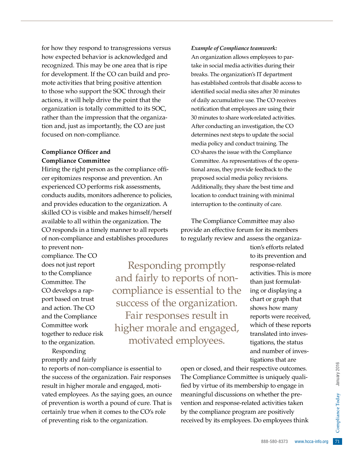for how they respond to transgressions versus how expected behavior is acknowledged and recognized. This may be one area that is ripe for development. If the CO can build and promote activities that bring positive attention to those who support the SOC through their actions, it will help drive the point that the organization is totally committed to its SOC, rather than the impression that the organization and, just as importantly, the CO are just focused on non-compliance.

#### **Compliance Officer and Compliance Committee**

Hiring the right person as the compliance officer epitomizes response and prevention. An experienced CO performs risk assessments, conducts audits, monitors adherence to policies, and provides education to the organization. A skilled CO is visible and makes himself/herself available to all within the organization. The CO responds in a timely manner to all reports of non-compliance and establishes procedures

to prevent noncompliance. The CO does not just report to the Compliance Committee. The CO develops a rapport based on trust and action. The CO and the Compliance Committee work together to reduce risk to the organization.

Responding promptly and fairly

to reports of non-compliance is essential to the success of the organization. Fair responses result in higher morale and engaged, motivated employees. As the saying goes, an ounce of prevention is worth a pound of cure. That is certainly true when it comes to the CO's role of preventing risk to the organization.

Responding promptly and fairly to reports of noncompliance is essential to the success of the organization. Fair responses result in higher morale and engaged, motivated employees.

*Example of Compliance teamwork:*

An organization allows employees to partake in social media activities during their breaks. The organization's IT department has established controls that disable access to identified social media sites after 30 minutes of daily accumulative use. The CO receives notification that employees are using their 30 minutes to share work-related activities. After conducting an investigation, the CO determines next steps to update the social media policy and conduct training. The CO shares the issue with the Compliance Committee. As representatives of the operational areas, they provide feedback to the proposed social media policy revisions. Additionally, they share the best time and location to conduct training with minimal interruption to the continuity of care.

The Compliance Committee may also provide an effective forum for its members to regularly review and assess the organiza-

> tion's efforts related to its prevention and response-related activities. This is more than just formulating or displaying a chart or graph that shows how many reports were received, which of these reports translated into investigations, the status and number of investigations that are

Bective outcomes.<br>
is uniquely quali-<br>
hip to engage in<br>
the<br>
there the pre-<br>
activities taken<br>
incomployees think<br>
the pre-<br>
positively<br>
to employees think<br>  $\frac{2}{3}$ <br>  $\frac{2}{3}$ <br>  $\frac{2}{3}$ <br>  $\frac{2}{3}$ <br>  $\frac{2}{3}$ <br>  $\frac{2}{3}$ open or closed, and their respective outcomes. The Compliance Committee is uniquely qualified by virtue of its membership to engage in meaningful discussions on whether the prevention and response-related activities taken by the compliance program are positively received by its employees. Do employees think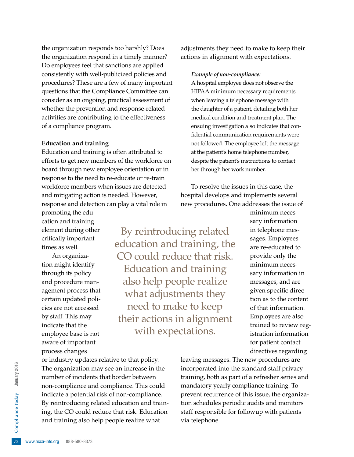the organization responds too harshly? Does the organization respond in a timely manner? Do employees feel that sanctions are applied consistently with well-publicized policies and procedures? These are a few of many important questions that the Compliance Committee can consider as an ongoing, practical assessment of whether the prevention and response-related activities are contributing to the effectiveness of a compliance program.

#### **Education and training**

Education and training is often attributed to efforts to get new members of the workforce on board through new employee orientation or in response to the need to re-educate or re-train workforce members when issues are detected and mitigating action is needed. However, response and detection can play a vital role in

promoting the education and training element during other critically important times as well.

An organization might identify through its policy and procedure management process that certain updated policies are not accessed by staff. This may indicate that the employee base is not aware of important process changes

By reintroducing related education and training, the CO could reduce that risk. Education and training also help people realize what adjustments they need to make to keep their actions in alignment with expectations.

adjustments they need to make to keep their actions in alignment with expectations.

#### *Example of non-compliance:*

A hospital employee does not observe the HIPAA minimum necessary requirements when leaving a telephone message with the daughter of a patient, detailing both her medical condition and treatment plan. The ensuing investigation also indicates that confidential communication requirements were not followed. The employee left the message at the patient's home telephone number, despite the patient's instructions to contact her through her work number.

To resolve the issues in this case, the hospital develops and implements several new procedures. One addresses the issue of

> minimum necessary information in telephone messages. Employees are re-educated to provide only the minimum necessary information in messages, and are given specific direction as to the content of that information. Employees are also trained to review registration information for patient contact directives regarding

ring, the CO could<br>and training also l<br>complete and training also l<br>72 www.hcca-info.org 888-580-8373 or industry updates relative to that policy. The organization may see an increase in the number of incidents that border between non-compliance and compliance. This could indicate a potential risk of non-compliance. By reintroducing related education and training, the CO could reduce that risk. Education and training also help people realize what

leaving messages. The new procedures are incorporated into the standard staff privacy training, both as part of a refresher series and mandatory yearly compliance training. To prevent recurrence of this issue, the organization schedules periodic audits and monitors staff responsible for followup with patients via telephone.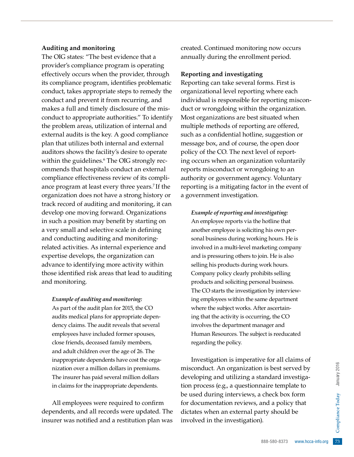#### **Auditing and monitoring**

The OIG states: "The best evidence that a provider's compliance program is operating effectively occurs when the provider, through its compliance program, identifies problematic conduct, takes appropriate steps to remedy the conduct and prevent it from recurring, and makes a full and timely disclosure of the misconduct to appropriate authorities." To identify the problem areas, utilization of internal and external audits is the key. A good compliance plan that utilizes both internal and external auditors shows the facility's desire to operate within the guidelines.6 The OIG strongly recommends that hospitals conduct an external compliance effectiveness review of its compliance program at least every three years.<sup>7</sup> If the organization does not have a strong history or track record of auditing and monitoring, it can develop one moving forward. Organizations in such a position may benefit by starting on a very small and selective scale in defining and conducting auditing and monitoringrelated activities. As internal experience and expertise develops, the organization can advance to identifying more activity within those identified risk areas that lead to auditing and monitoring.

*Example of auditing and monitoring:* As part of the audit plan for 2015, the CO audits medical plans for appropriate dependency claims. The audit reveals that several employees have included former spouses, close friends, deceased family members, and adult children over the age of 26. The inappropriate dependents have cost the organization over a million dollars in premiums. The insurer has paid several million dollars in claims for the inappropriate dependents.

All employees were required to confirm dependents, and all records were updated. The insurer was notified and a restitution plan was

created. Continued monitoring now occurs annually during the enrollment period.

#### **Reporting and investigating**

Reporting can take several forms. First is organizational level reporting where each individual is responsible for reporting misconduct or wrongdoing within the organization. Most organizations are best situated when multiple methods of reporting are offered, such as a confidential hotline, suggestion or message box, and of course, the open door policy of the CO. The next level of reporting occurs when an organization voluntarily reports misconduct or wrongdoing to an authority or government agency. Voluntary reporting is a mitigating factor in the event of a government investigation.

*Example of reporting and investigating:*  An employee reports via the hotline that another employee is soliciting his own personal business during working hours. He is involved in a multi-level marketing company and is pressuring others to join. He is also selling his products during work hours. Company policy clearly prohibits selling products and soliciting personal business. The CO starts the investigation by interviewing employees within the same department where the subject works. After ascertaining that the activity is occurring, the CO involves the department manager and Human Resources. The subject is reeducated regarding the policy.

888-580-8373 www.hcca-info.org 73 Investigation is imperative for all claims of misconduct. An organization is best served by developing and utilizing a standard investigation process (e.g., a questionnaire template to be used during interviews, a check box form for documentation reviews, and a policy that dictates when an external party should be involved in the investigation).